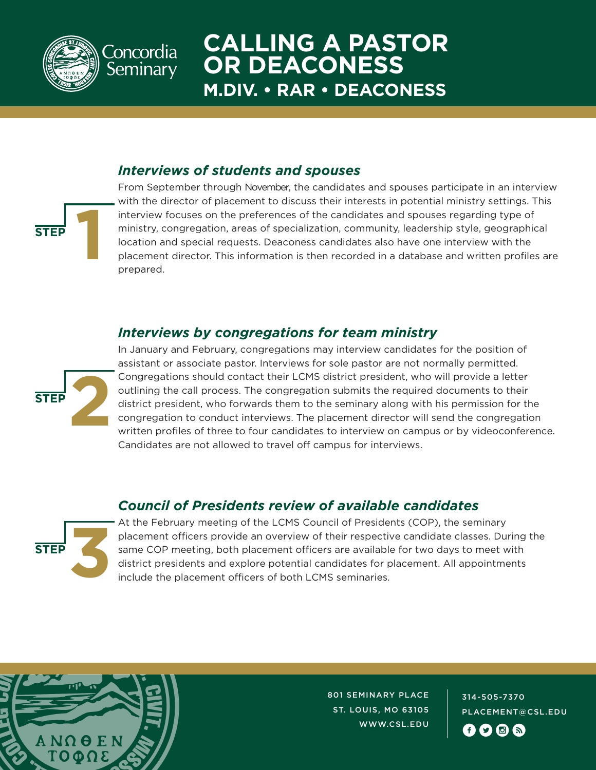

concordia Seminary

## **CALLING A PASTOR OR DEACONESS M.DIV. • RAR • DEACONESS**

#### *Interviews of students and spouses*



### *Interviews by congregations for team ministry*



**STEP 1**

In January and February, congregations may interview candidates for the position of assistant or associate pastor. Interviews for sole pastor are not normally permitted. Congregations should contact their LCMS district president, who will provide a letter outlining the call process. The congregation submits the required documents to their district president, who forwards them to the seminary along with his permission for the congregation to conduct interviews. The placement director will send the congregation written profiles of three to four candidates to interview on campus or by videoconference. Candidates are not allowed to travel off campus for interviews.

### *Council of Presidents review of available candidates*



At the February meeting of the LCMS Council of Presidents (COP), the seminary placement officers provide an overview of their respective candidate classes. During the same COP meeting, both placement officers are available for two days to meet with district presidents and explore potential candidates for placement. All appointments include the placement officers of both LCMS seminaries.



801 SEMINARY PLACE ST. LOUIS, MO 63105 WWW.CSL.EDU

314-505-7370 PLACEMENT@CSL.EDU **fi**ogr